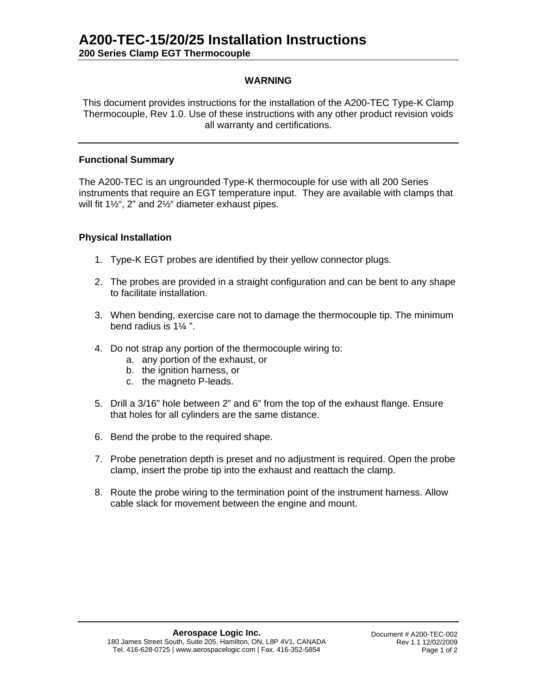## **WARNING**

This document provides instructions for the installation of the A200-TEC Type-K Clamp Thermocouple, Rev 1.0. Use of these instructions with any other product revision voids all warranty and certifications.

## **Functional Summary**

The A200-TEC is an ungrounded Type-K thermocouple for use with all 200 Series instruments that require an EGT temperature input. They are available with clamps that will fit 1½", 2" and 2½" diameter exhaust pipes.

## **Physical Installation**

- 1. Type-K EGT probes are identified by their yellow connector plugs.
- 2. The probes are provided in a straight configuration and can be bent to any shape to facilitate installation.
- 3. When bending, exercise care not to damage the thermocouple tip. The minimum bend radius is 1¼ ".
- 4. Do not strap any portion of the thermocouple wiring to:
	- a. any portion of the exhaust, or
	- b. the ignition harness, or
	- c. the magneto P-leads.
- 5. Drill a 3/16" hole between 2" and 6" from the top of the exhaust flange. Ensure that holes for all cylinders are the same distance.
- 6. Bend the probe to the required shape.
- 7. Probe penetration depth is preset and no adjustment is required. Open the probe clamp, insert the probe tip into the exhaust and reattach the clamp.
- 8. Route the probe wiring to the termination point of the instrument harness. Allow cable slack for movement between the engine and mount.